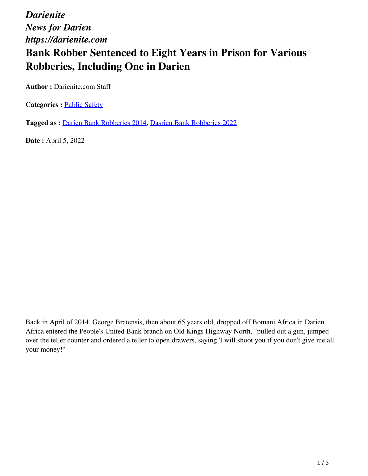*Darienite News for Darien https://darienite.com*

## **Bank Robber Sentenced to Eight Years in Prison for Various Robberies, Including One in Darien**

**Author :** Darienite.com Staff

**Categories : [Public Safety](https://darienite.com/category/news/police-fire)** 

**Tagged as :** Darien Bank Robberies 2014, Dasrien Bank Robberies 2022

**Date :** April 5, 2022

Back in April of 2014, George Bratensis, then about 65 years old, dropped off Bomani Africa in Darien. Africa entered the People's United Bank branch on Old Kings Highway North, "pulled out a gun, jumped over the teller counter and ordered a teller to open drawers, saying 'I will shoot you if you don't give me all your money!'"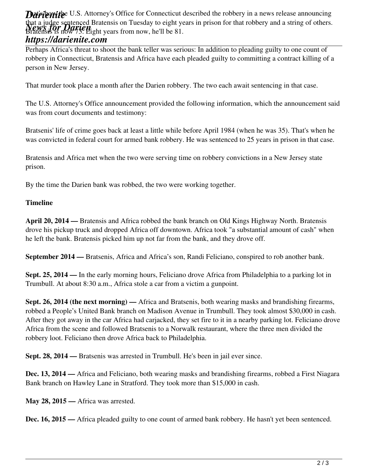**Dariente** U.S. Attorney's Office for Connecticut described the robbery in a news release announcing *News for Darien* Bratensis is now 73. Eight years from now, he'll be 81. that a judge sentenced Bratensis on Tuesday to eight years in prison for that robbery and a string of others.

## *https://darienite.com*

Perhaps Africa's threat to shoot the bank teller was serious: In addition to pleading guilty to one count of robbery in Connecticut, Bratensis and Africa have each pleaded guilty to committing a contract killing of a person in New Jersey.

That murder took place a month after the Darien robbery. The two each await sentencing in that case.

The U.S. Attorney's Office announcement provided the following information, which the announcement said was from court documents and testimony:

Bratsenis' life of crime goes back at least a little while before April 1984 (when he was 35). That's when he was convicted in federal court for armed bank robbery. He was sentenced to 25 years in prison in that case.

Bratensis and Africa met when the two were serving time on robbery convictions in a New Jersey state prison.

By the time the Darien bank was robbed, the two were working together.

## **Timeline**

**April 20, 2014 —** Bratensis and Africa robbed the bank branch on Old Kings Highway North. Bratensis drove his pickup truck and dropped Africa off downtown. Africa took "a substantial amount of cash" when he left the bank. Bratensis picked him up not far from the bank, and they drove off.

**September 2014 —** Bratsenis, Africa and Africa's son, Randi Feliciano, conspired to rob another bank.

**Sept. 25, 2014 —** In the early morning hours, Feliciano drove Africa from Philadelphia to a parking lot in Trumbull. At about 8:30 a.m., Africa stole a car from a victim a gunpoint.

**Sept. 26, 2014 (the next morning) —** Africa and Bratsenis, both wearing masks and brandishing firearms, robbed a People's United Bank branch on Madison Avenue in Trumbull. They took almost \$30,000 in cash. After they got away in the car Africa had carjacked, they set fire to it in a nearby parking lot. Feliciano drove Africa from the scene and followed Bratsenis to a Norwalk restaurant, where the three men divided the robbery loot. Feliciano then drove Africa back to Philadelphia.

**Sept. 28, 2014 —** Bratsenis was arrested in Trumbull. He's been in jail ever since.

**Dec. 13, 2014 —** Africa and Feliciano, both wearing masks and brandishing firearms, robbed a First Niagara Bank branch on Hawley Lane in Stratford. They took more than \$15,000 in cash.

**May 28, 2015 —** Africa was arrested.

**Dec. 16, 2015 —** Africa pleaded guilty to one count of armed bank robbery. He hasn't yet been sentenced.